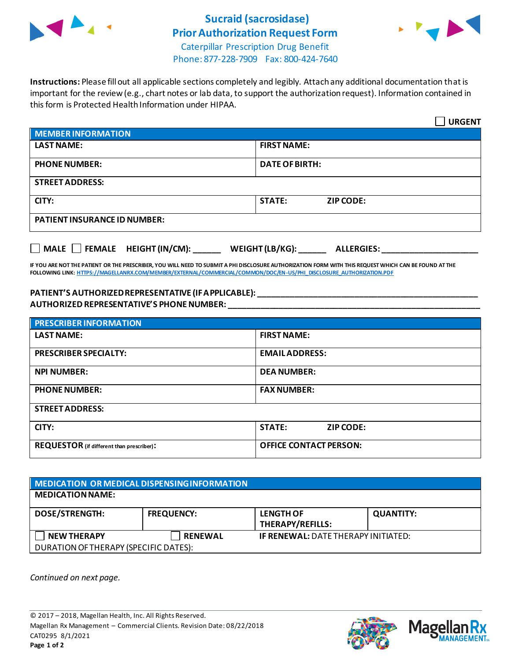

## **Sucraid (sacrosidase) Prior Authorization Request Form**



Caterpillar Prescription Drug Benefit Phone: 877-228-7909 Fax: 800-424-7640

**Instructions:** Please fill out all applicable sections completely and legibly. Attach any additional documentation that is important for the review (e.g., chart notes or lab data, to support the authorization request). Information contained in this form is Protected Health Information under HIPAA.

|                                                                      | <b>URGENT</b>                     |  |  |
|----------------------------------------------------------------------|-----------------------------------|--|--|
| MEMBER INFORMATION                                                   |                                   |  |  |
| <b>LAST NAME:</b>                                                    | <b>FIRST NAME:</b>                |  |  |
| <b>PHONE NUMBER:</b>                                                 | <b>DATE OF BIRTH:</b>             |  |  |
| <b>STREET ADDRESS:</b>                                               |                                   |  |  |
| CITY:                                                                | <b>STATE:</b><br><b>ZIP CODE:</b> |  |  |
| <b>PATIENT INSURANCE ID NUMBER:</b>                                  |                                   |  |  |
| MALE FEMALE HEIGHT (IN/CM): ______ WEIGHT (LB/KG): ______ ALLERGIES: |                                   |  |  |

**IF YOU ARE NOT THE PATIENT OR THE PRESCRIBER, YOU WILL NEED TO SUBMIT A PHI DISCLOSURE AUTHORIZATION FORM WITH THIS REQUEST WHICH CAN BE FOUND AT THE FOLLOWING LINK[: HTTPS://MAGELLANRX.COM/MEMBER/EXTERNAL/COMMERCIAL/COMMON/DOC/EN-US/PHI\\_DISCLOSURE\\_AUTHORIZATION.PDF](https://magellanrx.com/member/external/commercial/common/doc/en-us/PHI_Disclosure_Authorization.pdf)**

**PATIENT'S AUTHORIZED REPRESENTATIVE (IF APPLICABLE): \_\_\_\_\_\_\_\_\_\_\_\_\_\_\_\_\_\_\_\_\_\_\_\_\_\_\_\_\_\_\_\_\_\_\_\_\_\_\_\_\_\_\_\_\_\_\_\_ AUTHORIZED REPRESENTATIVE'S PHONE NUMBER: \_\_\_\_\_\_\_\_\_\_\_\_\_\_\_\_\_\_\_\_\_\_\_\_\_\_\_\_\_\_\_\_\_\_\_\_\_\_\_\_\_\_\_\_\_\_\_\_\_\_\_\_\_\_\_**

| <b>PRESCRIBER INFORMATION</b>             |                               |  |  |
|-------------------------------------------|-------------------------------|--|--|
| <b>LAST NAME:</b>                         | <b>FIRST NAME:</b>            |  |  |
| <b>PRESCRIBER SPECIALTY:</b>              | <b>EMAILADDRESS:</b>          |  |  |
| <b>NPI NUMBER:</b>                        | <b>DEA NUMBER:</b>            |  |  |
| <b>PHONE NUMBER:</b>                      | <b>FAX NUMBER:</b>            |  |  |
| <b>STREET ADDRESS:</b>                    |                               |  |  |
| CITY:                                     | <b>STATE:</b><br>ZIP CODE:    |  |  |
| REQUESTOR (if different than prescriber): | <b>OFFICE CONTACT PERSON:</b> |  |  |

| MEDICATION OR MEDICAL DISPENSING INFORMATION |                   |                                            |                  |  |  |
|----------------------------------------------|-------------------|--------------------------------------------|------------------|--|--|
| <b>MEDICATION NAME:</b>                      |                   |                                            |                  |  |  |
| <b>DOSE/STRENGTH:</b>                        | <b>FREQUENCY:</b> | <b>LENGTH OF</b><br>THERAPY/REFILLS:       | <b>QUANTITY:</b> |  |  |
| <b>NEW THERAPY</b>                           | <b>RENEWAL</b>    | <b>IF RENEWAL: DATE THERAPY INITIATED:</b> |                  |  |  |
| DURATION OF THERAPY (SPECIFIC DATES):        |                   |                                            |                  |  |  |

*Continued on next page.*